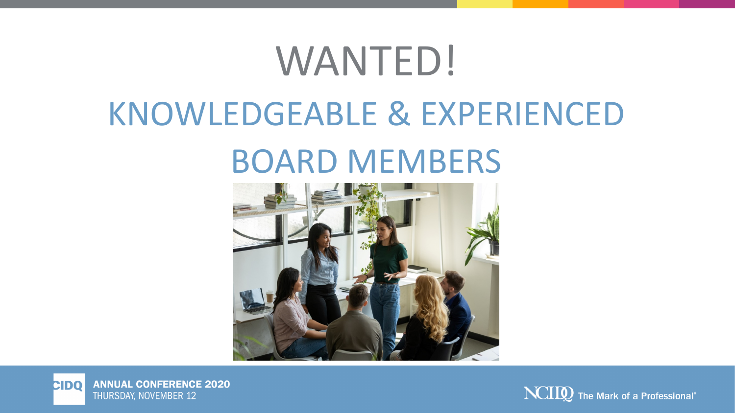## WANTED! KNOWLEDGEABLE & EXPERIENCED BOARD MEMBERS





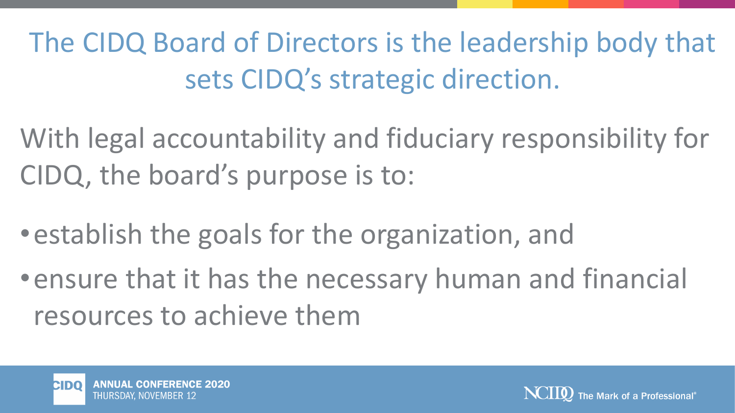The CIDQ Board of Directors is the leadership body that sets CIDQ's strategic direction.

With legal accountability and fiduciary responsibility for CIDQ, the board's purpose is to:

•establish the goals for the organization, and

•ensure that it has the necessary human and financial resources to achieve them



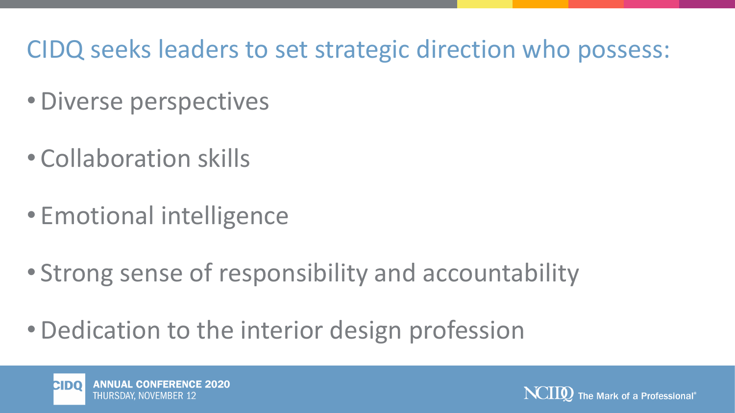## CIDQ seeks leaders to set strategic direction who possess:

- •Diverse perspectives
- Collaboration skills
- Emotional intelligence
- Strong sense of responsibility and accountability
- •Dedication to the interior design profession



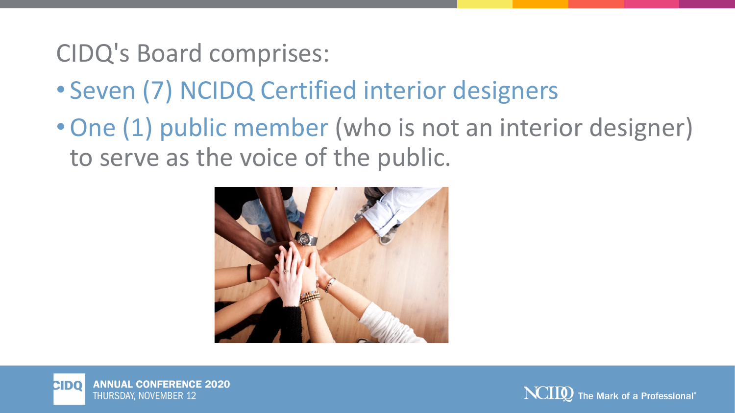## CIDQ's Board comprises:

- Seven (7) NCIDQ Certified interior designers
- •One (1) public member (who is not an interior designer) to serve as the voice of the public.





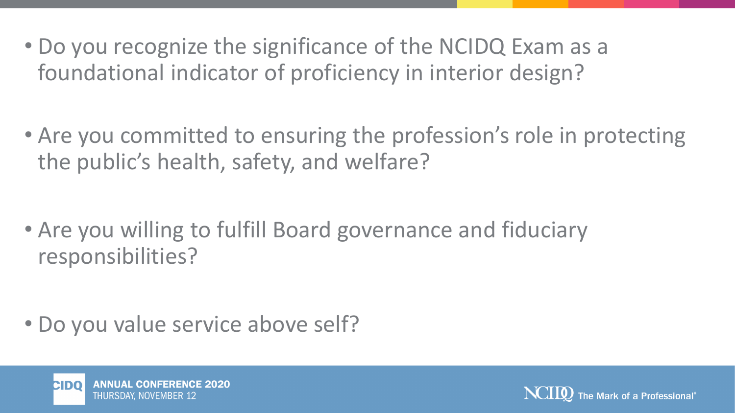- Do you recognize the significance of the NCIDQ Exam as a foundational indicator of proficiency in interior design?
- Are you committed to ensuring the profession's role in protecting the public's health, safety, and welfare?

• Are you willing to fulfill Board governance and fiduciary responsibilities?

• Do you value service above self?